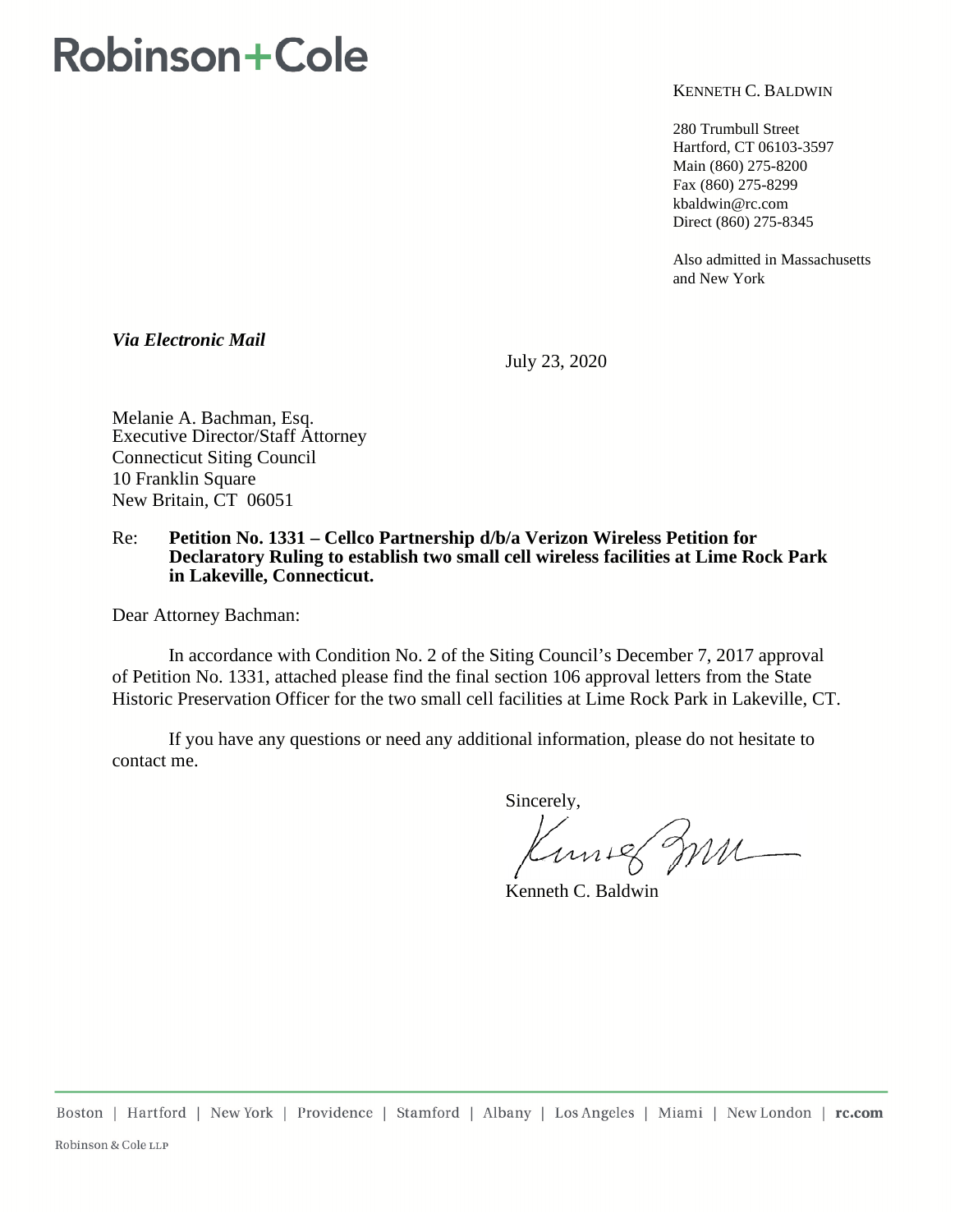## **Robinson+Cole**

KENNETH C. BALDWIN

280 Trumbull Street Hartford, CT 06103-3597 Main (860) 275-8200 Fax (860) 275-8299 kbaldwin@rc.com Direct (860) 275-8345

Also admitted in Massachusetts and New York

*Via Electronic Mail* 

July 23, 2020

Melanie A. Bachman, Esq. Executive Director/Staff Attorney Connecticut Siting Council 10 Franklin Square New Britain, CT 06051

## Re: **Petition No. 1331 – Cellco Partnership d/b/a Verizon Wireless Petition for Declaratory Ruling to establish two small cell wireless facilities at Lime Rock Park in Lakeville, Connecticut.**

Dear Attorney Bachman:

In accordance with Condition No. 2 of the Siting Council's December 7, 2017 approval of Petition No. 1331, attached please find the final section 106 approval letters from the State Historic Preservation Officer for the two small cell facilities at Lime Rock Park in Lakeville, CT.

If you have any questions or need any additional information, please do not hesitate to contact me.

Sincerely,

Kuniel mm

Kenneth C. Baldwin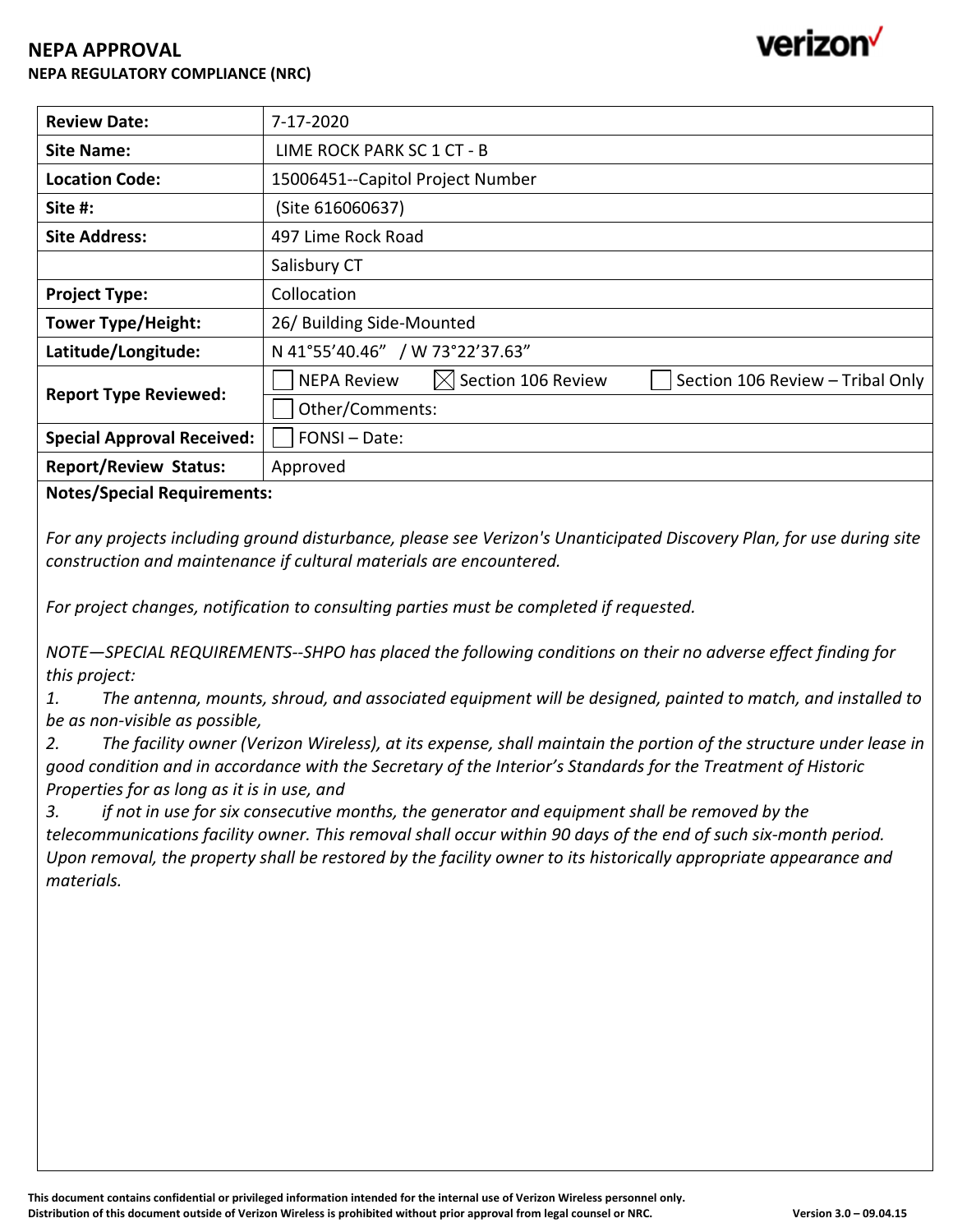## **NEPA APPROVAL NEPA REGULATORY COMPLIANCE (NRC)**

| <b>Review Date:</b>               | 7-17-2020                                                                                |
|-----------------------------------|------------------------------------------------------------------------------------------|
| <b>Site Name:</b>                 | LIME ROCK PARK SC 1 CT - B                                                               |
| <b>Location Code:</b>             | 15006451--Capitol Project Number                                                         |
| Site #:                           | (Site 616060637)                                                                         |
| <b>Site Address:</b>              | 497 Lime Rock Road                                                                       |
|                                   | Salisbury CT                                                                             |
| <b>Project Type:</b>              | Collocation                                                                              |
| <b>Tower Type/Height:</b>         | 26/ Building Side-Mounted                                                                |
| Latitude/Longitude:               | N 41°55'40.46" / W 73°22'37.63"                                                          |
| <b>Report Type Reviewed:</b>      | $\boxtimes$ Section 106 Review<br><b>NEPA Review</b><br>Section 106 Review - Tribal Only |
|                                   | Other/Comments:                                                                          |
| <b>Special Approval Received:</b> | FONSI-Date:                                                                              |
| <b>Report/Review Status:</b>      | Approved                                                                                 |

**Notes/Special Requirements:**

For any projects including ground disturbance, please see Verizon's Unanticipated Discovery Plan, for use during site *construction and maintenance if cultural materials are encountered.*

*For project changes, notification to consulting parties must be completed if requested.*

*NOTE—SPECIAL REQUIREMENTS‐‐SHPO has placed the following conditions on their no adverse effect finding for this project:*

1. The antenna, mounts, shroud, and associated equipment will be designed, painted to match, and installed to *be as non‐visible as possible,*

2. The facility owner (Verizon Wireless), at its expense, shall maintain the portion of the structure under lease in good condition and in accordance with the Secretary of the Interior's Standards for the Treatment of Historic *Properties for as long as it is in use, and*

*3. if not in use for six consecutive months, the generator and equipment shall be removed by the* telecommunications facility owner. This removal shall occur within 90 days of the end of such six-month period. Upon removal, the property shall be restored by the facility owner to its historically appropriate appearance and *materials.*